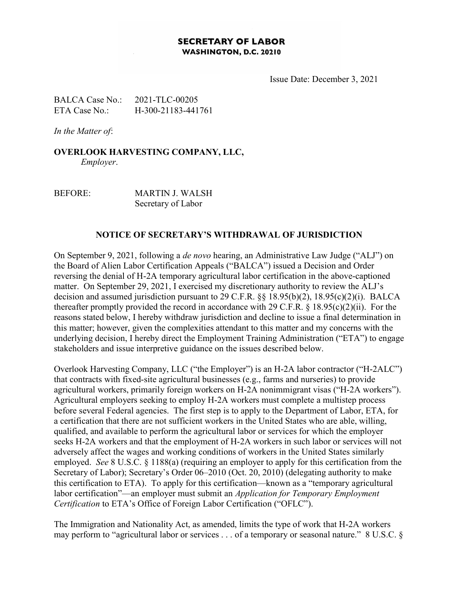## **SECRETARY OF LABOR** WASHINGTON, D.C. 20210

Issue Date: December 3, 2021

BALCA Case No.: 2021-TLC-00205 ETA Case No.: H-300-21183-441761

In the Matter of:

OVERLOOK HARVESTING COMPANY, LLC, Employer.

BEFORE: MARTIN J. WALSH Secretary of Labor

## NOTICE OF SECRETARY'S WITHDRAWAL OF JURISDICTION

On September 9, 2021, following a de novo hearing, an Administrative Law Judge ("ALJ") on the Board of Alien Labor Certification Appeals ("BALCA") issued a Decision and Order reversing the denial of H-2A temporary agricultural labor certification in the above-captioned matter. On September 29, 2021, I exercised my discretionary authority to review the ALJ's decision and assumed jurisdiction pursuant to 29 C.F.R. §§ 18.95(b)(2), 18.95(c)(2)(i). BALCA thereafter promptly provided the record in accordance with 29 C.F.R.  $\S$  18.95(c)(2)(ii). For the reasons stated below, I hereby withdraw jurisdiction and decline to issue a final determination in this matter; however, given the complexities attendant to this matter and my concerns with the underlying decision, I hereby direct the Employment Training Administration ("ETA") to engage stakeholders and issue interpretive guidance on the issues described below.

Overlook Harvesting Company, LLC ("the Employer") is an H-2A labor contractor ("H-2ALC") that contracts with fixed-site agricultural businesses (e.g., farms and nurseries) to provide agricultural workers, primarily foreign workers on H-2A nonimmigrant visas ("H-2A workers"). Agricultural employers seeking to employ H-2A workers must complete a multistep process before several Federal agencies. The first step is to apply to the Department of Labor, ETA, for a certification that there are not sufficient workers in the United States who are able, willing, qualified, and available to perform the agricultural labor or services for which the employer seeks H-2A workers and that the employment of H-2A workers in such labor or services will not adversely affect the wages and working conditions of workers in the United States similarly employed. See 8 U.S.C. § 1188(a) (requiring an employer to apply for this certification from the Secretary of Labor); Secretary's Order 06–2010 (Oct. 20, 2010) (delegating authority to make this certification to ETA). To apply for this certification—known as a "temporary agricultural labor certification"—an employer must submit an Application for Temporary Employment Certification to ETA's Office of Foreign Labor Certification ("OFLC").

The Immigration and Nationality Act, as amended, limits the type of work that H-2A workers may perform to "agricultural labor or services . . . of a temporary or seasonal nature." 8 U.S.C. §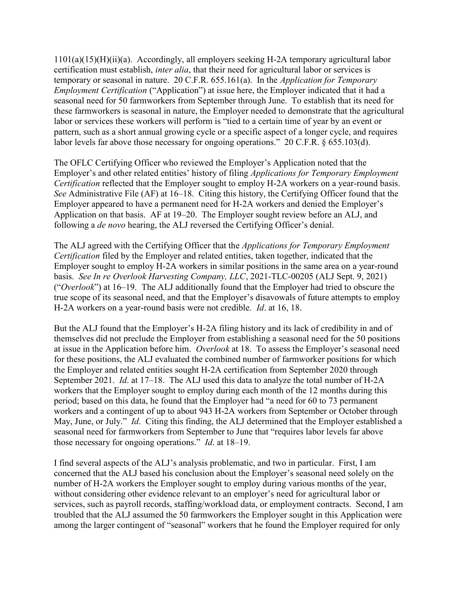$1101(a)(15)(H)(ii)(a)$ . Accordingly, all employers seeking H-2A temporary agricultural labor certification must establish, inter alia, that their need for agricultural labor or services is temporary or seasonal in nature. 20 C.F.R. 655.161(a). In the Application for Temporary Employment Certification ("Application") at issue here, the Employer indicated that it had a seasonal need for 50 farmworkers from September through June. To establish that its need for these farmworkers is seasonal in nature, the Employer needed to demonstrate that the agricultural labor or services these workers will perform is "tied to a certain time of year by an event or pattern, such as a short annual growing cycle or a specific aspect of a longer cycle, and requires labor levels far above those necessary for ongoing operations." 20 C.F.R. § 655.103(d).

The OFLC Certifying Officer who reviewed the Employer's Application noted that the Employer's and other related entities' history of filing Applications for Temporary Employment Certification reflected that the Employer sought to employ H-2A workers on a year-round basis. See Administrative File (AF) at 16–18. Citing this history, the Certifying Officer found that the Employer appeared to have a permanent need for H-2A workers and denied the Employer's Application on that basis. AF at 19–20. The Employer sought review before an ALJ, and following a de novo hearing, the ALJ reversed the Certifying Officer's denial.

The ALJ agreed with the Certifying Officer that the *Applications for Temporary Employment* Certification filed by the Employer and related entities, taken together, indicated that the Employer sought to employ H-2A workers in similar positions in the same area on a year-round basis. See In re Overlook Harvesting Company, LLC, 2021-TLC-00205 (ALJ Sept. 9, 2021) ("Overlook") at 16–19. The ALJ additionally found that the Employer had tried to obscure the true scope of its seasonal need, and that the Employer's disavowals of future attempts to employ H-2A workers on a year-round basis were not credible. Id. at 16, 18.

But the ALJ found that the Employer's H-2A filing history and its lack of credibility in and of themselves did not preclude the Employer from establishing a seasonal need for the 50 positions at issue in the Application before him. Overlook at 18. To assess the Employer's seasonal need for these positions, the ALJ evaluated the combined number of farmworker positions for which the Employer and related entities sought H-2A certification from September 2020 through September 2021. Id. at 17–18. The ALJ used this data to analyze the total number of H-2A workers that the Employer sought to employ during each month of the 12 months during this period; based on this data, he found that the Employer had "a need for 60 to 73 permanent workers and a contingent of up to about 943 H-2A workers from September or October through May, June, or July." *Id.* Citing this finding, the ALJ determined that the Employer established a seasonal need for farmworkers from September to June that "requires labor levels far above those necessary for ongoing operations." Id. at 18–19.

I find several aspects of the ALJ's analysis problematic, and two in particular. First, I am concerned that the ALJ based his conclusion about the Employer's seasonal need solely on the number of H-2A workers the Employer sought to employ during various months of the year, without considering other evidence relevant to an employer's need for agricultural labor or services, such as payroll records, staffing/workload data, or employment contracts. Second, I am troubled that the ALJ assumed the 50 farmworkers the Employer sought in this Application were among the larger contingent of "seasonal" workers that he found the Employer required for only